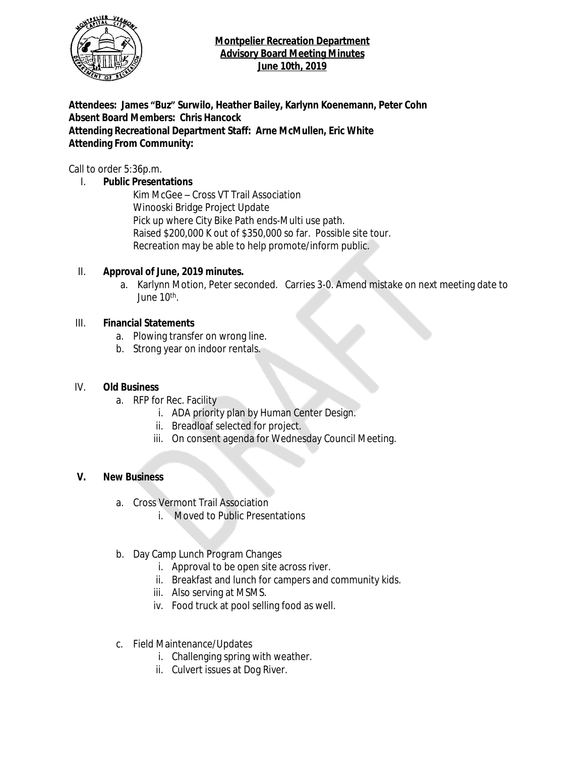

#### **Montpelier Recreation Department Advisory Board Meeting Minutes June 10th, 2019**

**Attendees: James "Buz" Surwilo, Heather Bailey, Karlynn Koenemann, Peter Cohn Absent Board Members: Chris Hancock Attending Recreational Department Staff: Arne McMullen, Eric White Attending From Community:**

Call to order 5:36p.m.

#### I. **Public Presentations**

Kim McGee – Cross VT Trail Association Winooski Bridge Project Update Pick up where City Bike Path ends-Multi use path. Raised \$200,000 K out of \$350,000 so far. Possible site tour. Recreation may be able to help promote/inform public.

#### II. **Approval of June, 2019 minutes.**

a. Karlynn Motion, Peter seconded. Carries 3-0. Amend mistake on next meeting date to June 10<sup>th</sup>.

#### III. **Financial Statements**

- a. Plowing transfer on wrong line.
- b. Strong year on indoor rentals.

#### IV. **Old Business**

- a. RFP for Rec. Facility
	- i. ADA priority plan by Human Center Design.
	- ii. Breadloaf selected for project.
	- iii. On consent agenda for Wednesday Council Meeting.

#### **V. New Business**

- a. Cross Vermont Trail Association
	- i. Moved to Public Presentations
- b. Day Camp Lunch Program Changes
	- i. Approval to be open site across river.
	- ii. Breakfast and lunch for campers and community kids.
	- iii. Also serving at MSMS.
	- iv. Food truck at pool selling food as well.
- c. Field Maintenance/Updates
	- i. Challenging spring with weather.
	- ii. Culvert issues at Dog River.